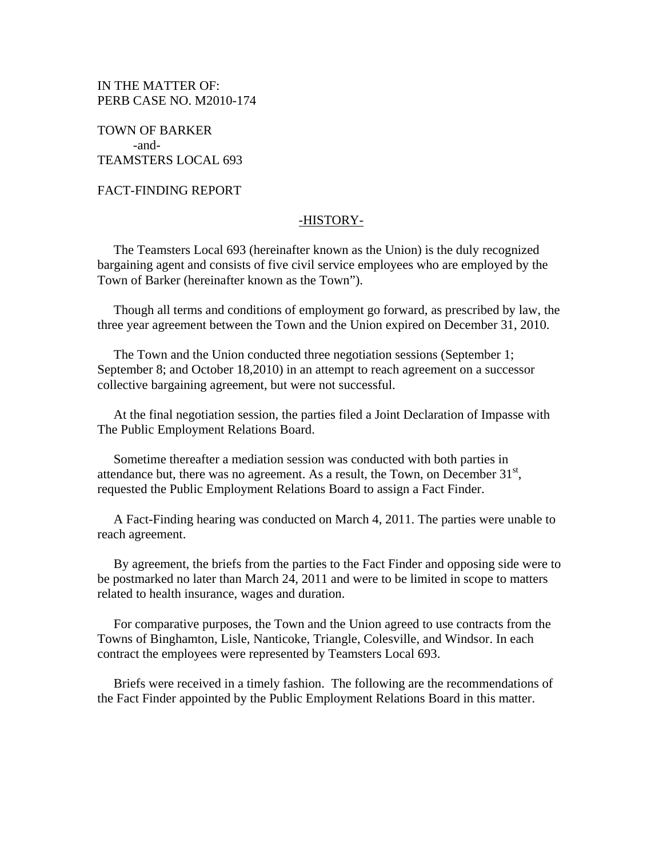IN THE MATTER OF: PERB CASE NO. M2010-174

TOWN OF BARKER -and-TEAMSTERS LOCAL 693

FACT-FINDING REPORT

## -HISTORY-

 The Teamsters Local 693 (hereinafter known as the Union) is the duly recognized bargaining agent and consists of five civil service employees who are employed by the Town of Barker (hereinafter known as the Town").

 Though all terms and conditions of employment go forward, as prescribed by law, the three year agreement between the Town and the Union expired on December 31, 2010.

 The Town and the Union conducted three negotiation sessions (September 1; September 8; and October 18,2010) in an attempt to reach agreement on a successor collective bargaining agreement, but were not successful.

 At the final negotiation session, the parties filed a Joint Declaration of Impasse with The Public Employment Relations Board.

 Sometime thereafter a mediation session was conducted with both parties in attendance but, there was no agreement. As a result, the Town, on December  $31<sup>st</sup>$ , requested the Public Employment Relations Board to assign a Fact Finder.

 A Fact-Finding hearing was conducted on March 4, 2011. The parties were unable to reach agreement.

 By agreement, the briefs from the parties to the Fact Finder and opposing side were to be postmarked no later than March 24, 2011 and were to be limited in scope to matters related to health insurance, wages and duration.

 For comparative purposes, the Town and the Union agreed to use contracts from the Towns of Binghamton, Lisle, Nanticoke, Triangle, Colesville, and Windsor. In each contract the employees were represented by Teamsters Local 693.

 Briefs were received in a timely fashion. The following are the recommendations of the Fact Finder appointed by the Public Employment Relations Board in this matter.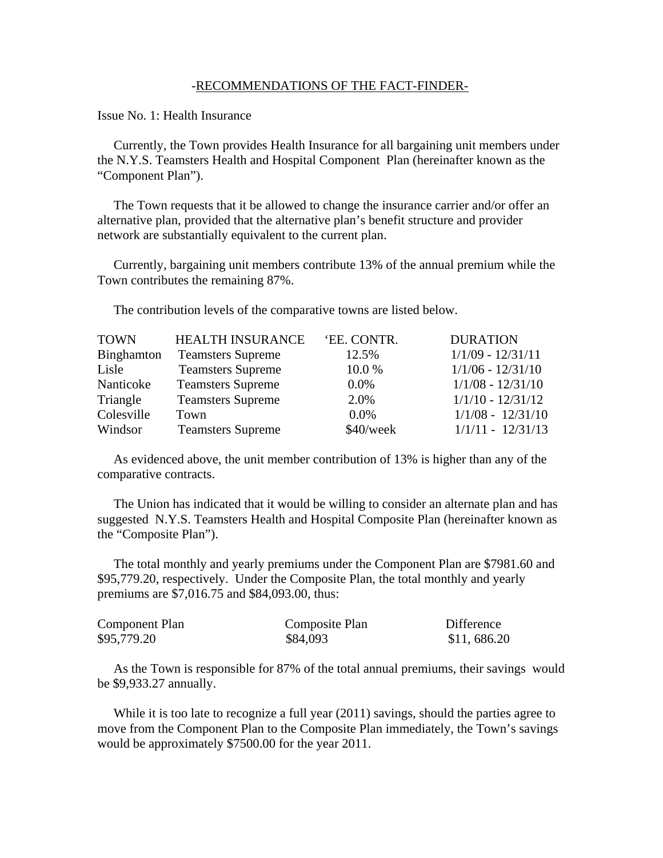## -RECOMMENDATIONS OF THE FACT-FINDER-

Issue No. 1: Health Insurance

 Currently, the Town provides Health Insurance for all bargaining unit members under the N.Y.S. Teamsters Health and Hospital Component Plan (hereinafter known as the "Component Plan").

 The Town requests that it be allowed to change the insurance carrier and/or offer an alternative plan, provided that the alternative plan's benefit structure and provider network are substantially equivalent to the current plan.

 Currently, bargaining unit members contribute 13% of the annual premium while the Town contributes the remaining 87%.

The contribution levels of the comparative towns are listed below.

| <b>HEALTH INSURANCE</b>  | 'EE. CONTR. | <b>DURATION</b>     |
|--------------------------|-------------|---------------------|
| <b>Teamsters Supreme</b> | 12.5%       | $1/1/09 - 12/31/11$ |
| <b>Teamsters Supreme</b> | 10.0%       | $1/1/06 - 12/31/10$ |
| <b>Teamsters Supreme</b> | $0.0\%$     | $1/1/08 - 12/31/10$ |
| <b>Teamsters Supreme</b> | 2.0%        | $1/1/10 - 12/31/12$ |
| Town                     | $0.0\%$     | $1/1/08 - 12/31/10$ |
| <b>Teamsters Supreme</b> | $$40$ /week | $1/1/11 - 12/31/13$ |
|                          |             |                     |

 As evidenced above, the unit member contribution of 13% is higher than any of the comparative contracts.

 The Union has indicated that it would be willing to consider an alternate plan and has suggested N.Y.S. Teamsters Health and Hospital Composite Plan (hereinafter known as the "Composite Plan").

 The total monthly and yearly premiums under the Component Plan are \$7981.60 and \$95,779.20, respectively. Under the Composite Plan, the total monthly and yearly premiums are \$7,016.75 and \$84,093.00, thus:

| Component Plan | Composite Plan | Difference  |
|----------------|----------------|-------------|
| \$95,779.20    | \$84,093       | \$11,686.20 |

 As the Town is responsible for 87% of the total annual premiums, their savings would be \$9,933.27 annually.

While it is too late to recognize a full year (2011) savings, should the parties agree to move from the Component Plan to the Composite Plan immediately, the Town's savings would be approximately \$7500.00 for the year 2011.